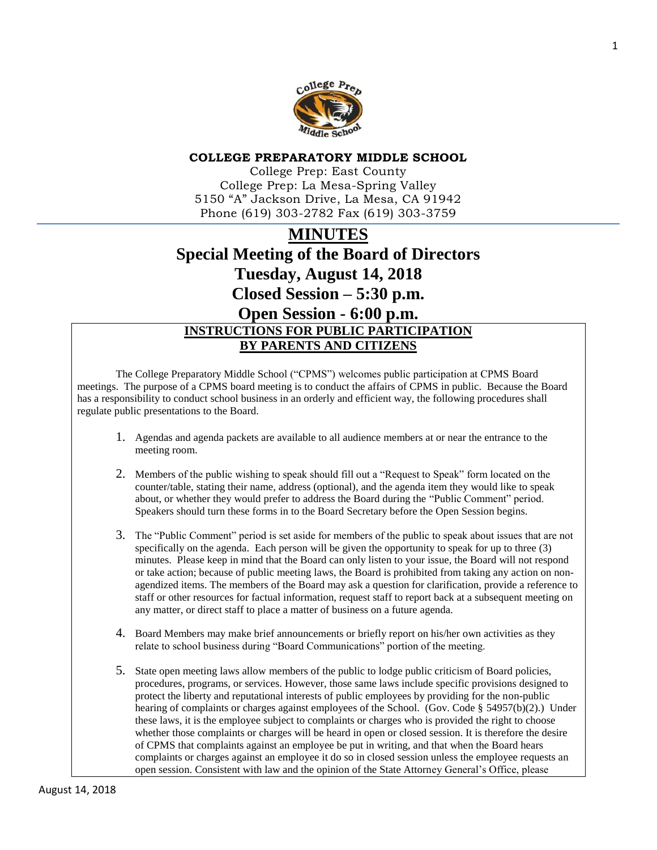

#### **COLLEGE PREPARATORY MIDDLE SCHOOL**

College Prep: East County College Prep: La Mesa-Spring Valley 5150 "A" Jackson Drive, La Mesa, CA 91942 Phone (619) 303-2782 Fax (619) 303-3759

# **MINUTES Special Meeting of the Board of Directors Tuesday, August 14, 2018 Closed Session – 5:30 p.m. Open Session - 6:00 p.m. INSTRUCTIONS FOR PUBLIC PARTICIPATION BY PARENTS AND CITIZENS**

The College Preparatory Middle School ("CPMS") welcomes public participation at CPMS Board meetings. The purpose of a CPMS board meeting is to conduct the affairs of CPMS in public. Because the Board has a responsibility to conduct school business in an orderly and efficient way, the following procedures shall regulate public presentations to the Board.

- 1. Agendas and agenda packets are available to all audience members at or near the entrance to the meeting room.
- 2. Members of the public wishing to speak should fill out a "Request to Speak" form located on the counter/table, stating their name, address (optional), and the agenda item they would like to speak about, or whether they would prefer to address the Board during the "Public Comment" period. Speakers should turn these forms in to the Board Secretary before the Open Session begins.
- 3. The "Public Comment" period is set aside for members of the public to speak about issues that are not specifically on the agenda. Each person will be given the opportunity to speak for up to three (3) minutes. Please keep in mind that the Board can only listen to your issue, the Board will not respond or take action; because of public meeting laws, the Board is prohibited from taking any action on nonagendized items. The members of the Board may ask a question for clarification, provide a reference to staff or other resources for factual information, request staff to report back at a subsequent meeting on any matter, or direct staff to place a matter of business on a future agenda.
- 4. Board Members may make brief announcements or briefly report on his/her own activities as they relate to school business during "Board Communications" portion of the meeting.
- 5. State open meeting laws allow members of the public to lodge public criticism of Board policies, procedures, programs, or services. However, those same laws include specific provisions designed to protect the liberty and reputational interests of public employees by providing for the non-public hearing of complaints or charges against employees of the School. (Gov. Code § 54957(b)(2).) Under these laws, it is the employee subject to complaints or charges who is provided the right to choose whether those complaints or charges will be heard in open or closed session. It is therefore the desire of CPMS that complaints against an employee be put in writing, and that when the Board hears complaints or charges against an employee it do so in closed session unless the employee requests an open session. Consistent with law and the opinion of the State Attorney General's Office, please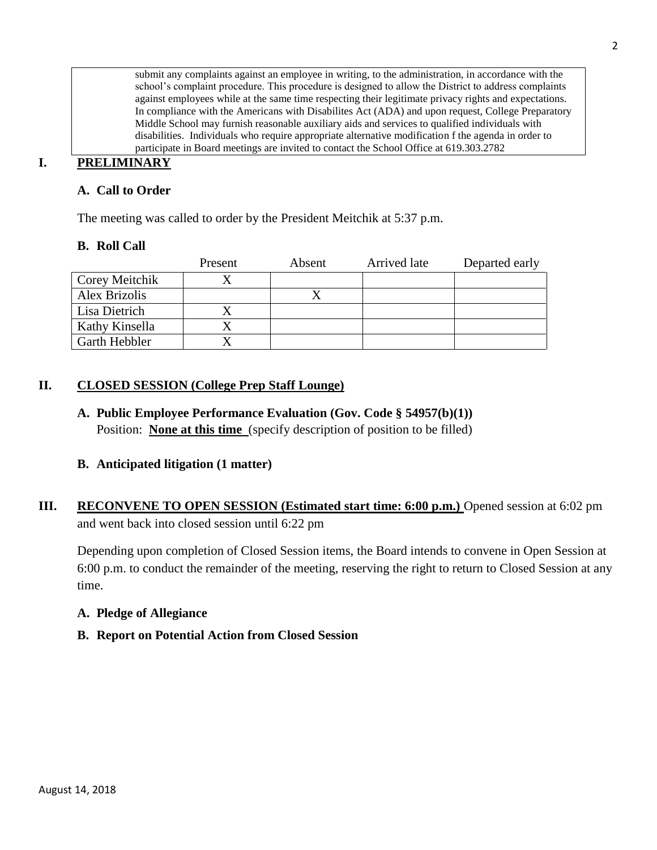submit any complaints against an employee in writing, to the administration, in accordance with the school's complaint procedure. This procedure is designed to allow the District to address complaints against employees while at the same time respecting their legitimate privacy rights and expectations. In compliance with the Americans with Disabilites Act (ADA) and upon request, College Preparatory Middle School may furnish reasonable auxiliary aids and services to qualified individuals with disabilities. Individuals who require appropriate alternative modification f the agenda in order to participate in Board meetings are invited to contact the School Office at 619.303.2782

## **I. PRELIMINARY**

## **A. Call to Order**

The meeting was called to order by the President Meitchik at 5:37 p.m.

## **B. Roll Call**

|                | Present | Absent | Arrived late | Departed early |
|----------------|---------|--------|--------------|----------------|
| Corey Meitchik |         |        |              |                |
| Alex Brizolis  |         |        |              |                |
| Lisa Dietrich  |         |        |              |                |
| Kathy Kinsella |         |        |              |                |
| Garth Hebbler  |         |        |              |                |

## **II. CLOSED SESSION (College Prep Staff Lounge)**

**A. Public Employee Performance Evaluation (Gov. Code § 54957(b)(1))** Position: **None at this time** (specify description of position to be filled)

## **B. Anticipated litigation (1 matter)**

**III.** RECONVENE TO OPEN SESSION (Estimated start time: 6:00 p.m.) Opened session at 6:02 pm and went back into closed session until 6:22 pm

Depending upon completion of Closed Session items, the Board intends to convene in Open Session at 6:00 p.m. to conduct the remainder of the meeting, reserving the right to return to Closed Session at any time.

## **A. Pledge of Allegiance**

## **B. Report on Potential Action from Closed Session**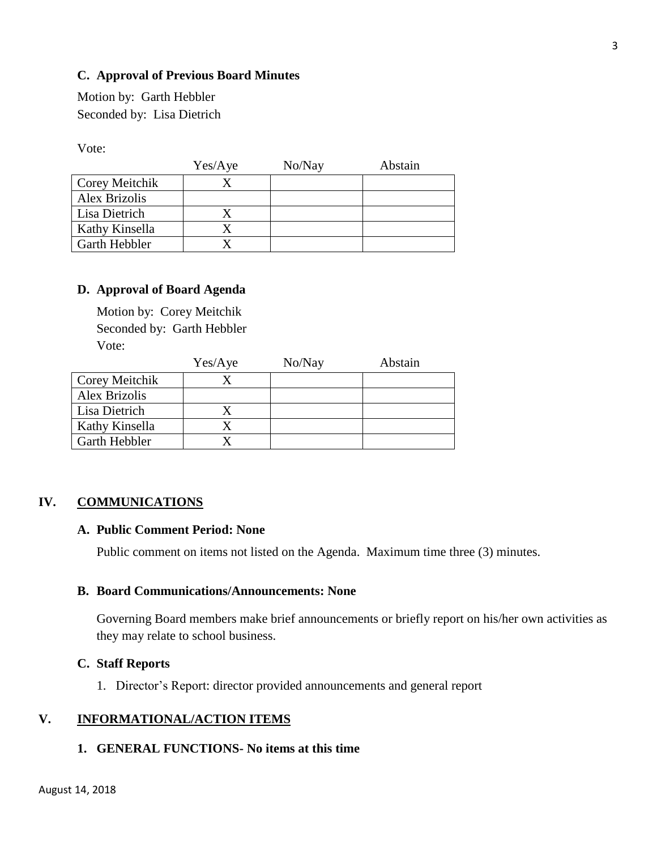## **C. Approval of Previous Board Minutes**

Motion by: Garth Hebbler Seconded by: Lisa Dietrich

Vote:

|                      | Yes/Aye | No/Nay | Abstain |
|----------------------|---------|--------|---------|
| Corey Meitchik       |         |        |         |
| <b>Alex Brizolis</b> |         |        |         |
| Lisa Dietrich        |         |        |         |
| Kathy Kinsella       |         |        |         |
| Garth Hebbler        |         |        |         |

#### **D. Approval of Board Agenda**

Motion by: Corey Meitchik Seconded by: Garth Hebbler Vote:

|                      | Yes/Aye | No/Nay | Abstain |
|----------------------|---------|--------|---------|
| Corey Meitchik       |         |        |         |
| <b>Alex Brizolis</b> |         |        |         |
| Lisa Dietrich        |         |        |         |
| Kathy Kinsella       |         |        |         |
| Garth Hebbler        |         |        |         |

## **IV. COMMUNICATIONS**

#### **A. Public Comment Period: None**

Public comment on items not listed on the Agenda. Maximum time three (3) minutes.

#### **B. Board Communications/Announcements: None**

Governing Board members make brief announcements or briefly report on his/her own activities as they may relate to school business.

#### **C. Staff Reports**

1. Director's Report: director provided announcements and general report

## **V. INFORMATIONAL/ACTION ITEMS**

#### **1. GENERAL FUNCTIONS- No items at this time**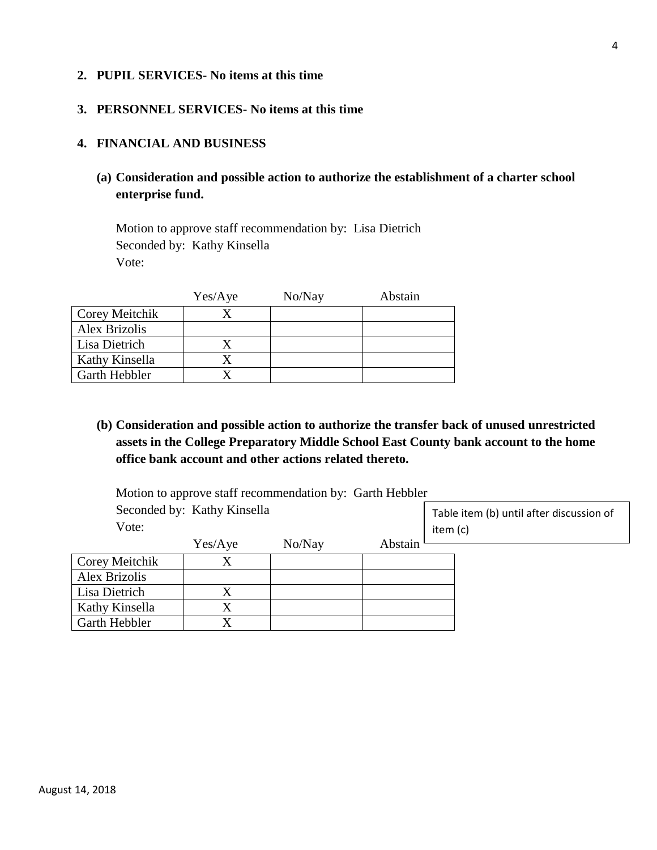#### **2. PUPIL SERVICES- No items at this time**

## **3. PERSONNEL SERVICES- No items at this time**

#### **4. FINANCIAL AND BUSINESS**

**(a) Consideration and possible action to authorize the establishment of a charter school enterprise fund.**

Motion to approve staff recommendation by: Lisa Dietrich Seconded by: Kathy Kinsella Vote:

|                | Yes/Aye | No/Nay | Abstain |
|----------------|---------|--------|---------|
| Corey Meitchik |         |        |         |
| Alex Brizolis  |         |        |         |
| Lisa Dietrich  |         |        |         |
| Kathy Kinsella |         |        |         |
| Garth Hebbler  |         |        |         |

**(b) Consideration and possible action to authorize the transfer back of unused unrestricted assets in the College Preparatory Middle School East County bank account to the home office bank account and other actions related thereto.** 

Motion to approve staff recommendation by: Garth Hebbler Seconded by: Kathy Kinsella Vote: Yes/Aye No/Nay Abstain Corey Meitchik X Alex Brizolis Lisa Dietrich X Kathy Kinsella X Garth Hebbler X Table item (b) until after discussion of item (c)